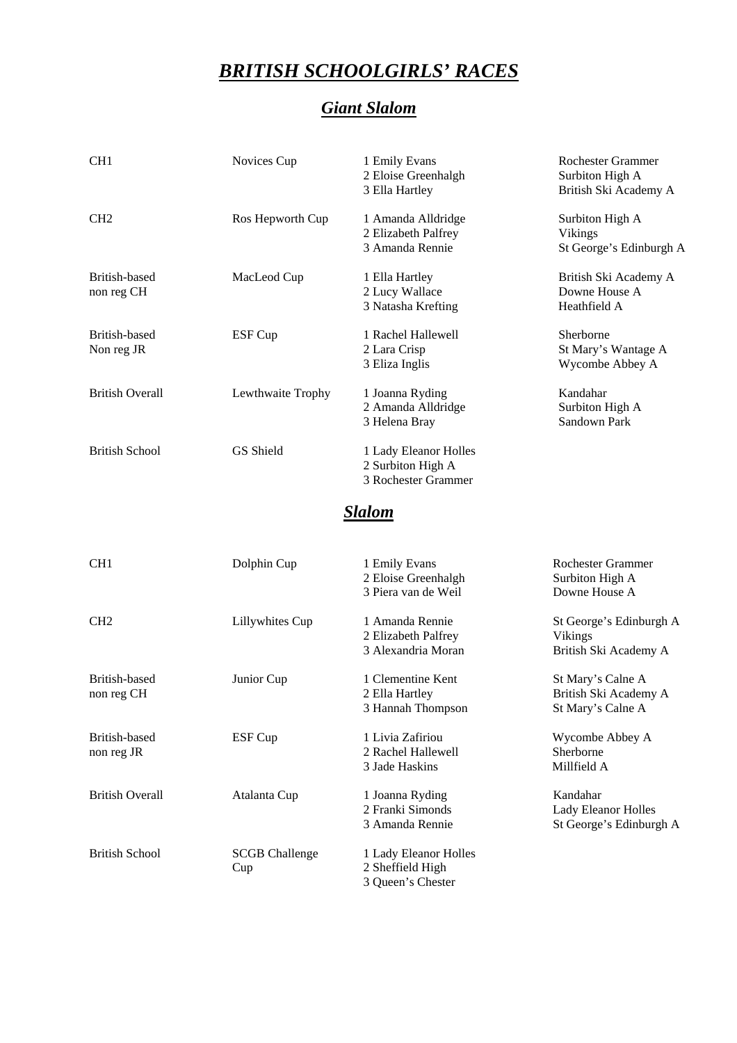## *BRITISH SCHOOLGIRLS' RACES*

## *Giant Slalom*

| CH <sub>1</sub>             | Novices Cup       | 1 Emily Evans<br>2 Eloise Greenhalgh<br>3 Ella Hartley            | <b>Rochester Grammer</b><br>Surbiton High A<br>British Ski Academy A |
|-----------------------------|-------------------|-------------------------------------------------------------------|----------------------------------------------------------------------|
| CH <sub>2</sub>             | Ros Hepworth Cup  | 1 Amanda Alldridge<br>2 Elizabeth Palfrey<br>3 Amanda Rennie      | Surbiton High A<br>Vikings<br>St George's Edinburgh A                |
| British-based<br>non reg CH | MacLeod Cup       | 1 Ella Hartley<br>2 Lucy Wallace<br>3 Natasha Krefting            | British Ski Academy A<br>Downe House A<br>Heathfield A               |
| British-based<br>Non reg JR | ESF Cup           | 1 Rachel Hallewell<br>2 Lara Crisp<br>3 Eliza Inglis              | Sherborne<br>St Mary's Wantage A<br>Wycombe Abbey A                  |
| <b>British Overall</b>      | Lewthwaite Trophy | 1 Joanna Ryding<br>2 Amanda Alldridge<br>3 Helena Bray            | Kandahar<br>Surbiton High A<br>Sandown Park                          |
| <b>British School</b>       | GS Shield         | 1 Lady Eleanor Holles<br>2 Surbiton High A<br>3 Rochester Grammer |                                                                      |
|                             |                   | Slalom                                                            |                                                                      |
| CH1                         | Dolphin Cup       | 1 Emily Evans<br>2 Eloise Greenhalgh<br>3 Piera van de Weil       | <b>Rochester Grammer</b><br>Surbiton High A<br>Downe House A         |
| CH <sub>2</sub>             | Lillywhites Cup   | 1 Amanda Rennie                                                   | St George's Edinburgh A                                              |

| ᇰᇗ                          | $D$ Upum $C \uplus$          | т плину плано<br>2 Eloise Greenhalgh<br>3 Piera van de Weil    | Nochesier Grammer<br>Surbiton High A<br>Downe House A           |
|-----------------------------|------------------------------|----------------------------------------------------------------|-----------------------------------------------------------------|
| CH <sub>2</sub>             | Lillywhites Cup              | 1 Amanda Rennie<br>2 Elizabeth Palfrey<br>3 Alexandria Moran   | St George's Edinburgh A<br>Vikings<br>British Ski Academy A     |
| British-based<br>non reg CH | Junior Cup                   | 1 Clementine Kent<br>2 Ella Hartley<br>3 Hannah Thompson       | St Mary's Calne A<br>British Ski Academy A<br>St Mary's Calne A |
| British-based<br>non reg JR | ESF Cup                      | 1 Livia Zafiriou<br>2 Rachel Hallewell<br>3 Jade Haskins       | Wycombe Abbey A<br>Sherborne<br>Millfield A                     |
| <b>British Overall</b>      | Atalanta Cup                 | 1 Joanna Ryding<br>2 Franki Simonds<br>3 Amanda Rennie         | Kandahar<br>Lady Eleanor Holles<br>St George's Edinburgh A      |
| <b>British School</b>       | <b>SCGB</b> Challenge<br>Cup | 1 Lady Eleanor Holles<br>2 Sheffield High<br>3 Queen's Chester |                                                                 |